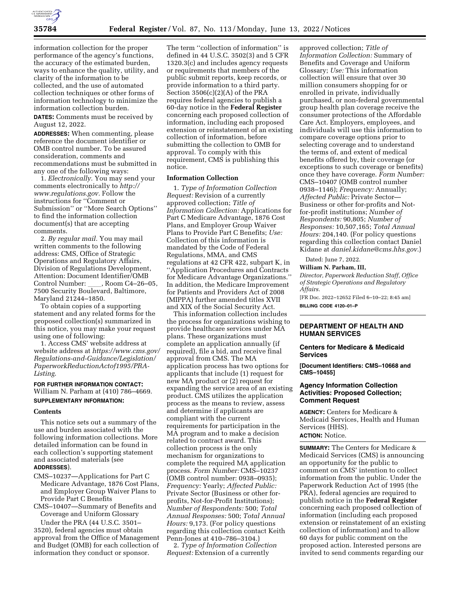

information collection for the proper performance of the agency's functions, the accuracy of the estimated burden, ways to enhance the quality, utility, and clarity of the information to be collected, and the use of automated collection techniques or other forms of information technology to minimize the information collection burden.

**DATES:** Comments must be received by August 12, 2022.

**ADDRESSES:** When commenting, please reference the document identifier or OMB control number. To be assured consideration, comments and recommendations must be submitted in any one of the following ways:

1. *Electronically.* You may send your comments electronically to *[http://](http://www.regulations.gov) [www.regulations.gov.](http://www.regulations.gov)* Follow the instructions for ''Comment or Submission'' or ''More Search Options'' to find the information collection document(s) that are accepting comments.

2. *By regular mail.* You may mail written comments to the following address: CMS, Office of Strategic Operations and Regulatory Affairs, Division of Regulations Development, Attention: Document Identifier/OMB<br>Control Number: , Room C4–26–05, Control Number: \_\_\_\_, Room C4–26–05,<br>7500 Security Boulevard, Baltimore, Maryland 21244–1850.

To obtain copies of a supporting statement and any related forms for the proposed collection(s) summarized in this notice, you may make your request using one of following:

1. Access CMS' website address at website address at *[https://www.cms.gov/](https://www.cms.gov/Regulations-and-Guidance/Legislation/PaperworkReductionActof1995/PRA-Listing)  [Regulations-and-Guidance/Legislation/](https://www.cms.gov/Regulations-and-Guidance/Legislation/PaperworkReductionActof1995/PRA-Listing)  [PaperworkReductionActof1995/PRA-](https://www.cms.gov/Regulations-and-Guidance/Legislation/PaperworkReductionActof1995/PRA-Listing)[Listing](https://www.cms.gov/Regulations-and-Guidance/Legislation/PaperworkReductionActof1995/PRA-Listing)*.

# **FOR FURTHER INFORMATION CONTACT:**  William N. Parham at (410) 786–4669. **SUPPLEMENTARY INFORMATION:**

#### **Contents**

This notice sets out a summary of the use and burden associated with the following information collections. More detailed information can be found in each collection's supporting statement and associated materials (see **ADDRESSES**).

- CMS–10237—Applications for Part C Medicare Advantage, 1876 Cost Plans, and Employer Group Waiver Plans to Provide Part C Benefits
- CMS–10407—Summary of Benefits and Coverage and Uniform Glossary

Under the PRA (44 U.S.C. 3501– 3520), federal agencies must obtain approval from the Office of Management and Budget (OMB) for each collection of information they conduct or sponsor.

The term ''collection of information'' is defined in 44 U.S.C. 3502(3) and 5 CFR 1320.3(c) and includes agency requests or requirements that members of the public submit reports, keep records, or provide information to a third party. Section 3506(c)(2)(A) of the PRA requires federal agencies to publish a 60-day notice in the **Federal Register**  concerning each proposed collection of information, including each proposed extension or reinstatement of an existing collection of information, before submitting the collection to OMB for approval. To comply with this requirement, CMS is publishing this notice.

## **Information Collection**

1. *Type of Information Collection Request:* Revision of a currently approved collection; *Title of Information Collection:* Applications for Part C Medicare Advantage, 1876 Cost Plans, and Employer Group Waiver Plans to Provide Part C Benefits; *Use:*  Collection of this information is mandated by the Code of Federal Regulations, MMA, and CMS regulations at 42 CFR 422, subpart K, in ''Application Procedures and Contracts for Medicare Advantage Organizations.'' In addition, the Medicare Improvement for Patients and Providers Act of 2008 (MIPPA) further amended titles XVII and XIX of the Social Security Act.

This information collection includes the process for organizations wishing to provide healthcare services under MA plans. These organizations must complete an application annually (if required), file a bid, and receive final approval from CMS. The MA application process has two options for applicants that include (1) request for new MA product or (2) request for expanding the service area of an existing product. CMS utilizes the application process as the means to review, assess and determine if applicants are compliant with the current requirements for participation in the MA program and to make a decision related to contract award. This collection process is the only mechanism for organizations to complete the required MA application process. *Form Number:* CMS–10237 (OMB control number: 0938–0935); *Frequency:* Yearly; *Affected Public:*  Private Sector (Business or other forprofits, Not-for-Profit Institutions); *Number of Respondents:* 500; *Total Annual Responses:* 500; *Total Annual Hours:* 9,173. (For policy questions regarding this collection contact Keith Penn-Jones at 410–786–3104.)

2. *Type of Information Collection Request:* Extension of a currently

approved collection; *Title of Information Collection:* Summary of Benefits and Coverage and Uniform Glossary; *Use:* This information collection will ensure that over 30 million consumers shopping for or enrolled in private, individually purchased, or non-federal governmental group health plan coverage receive the consumer protections of the Affordable Care Act. Employers, employees, and individuals will use this information to compare coverage options prior to selecting coverage and to understand the terms of, and extent of medical benefits offered by, their coverage (or exceptions to such coverage or benefits) once they have coverage. *Form Number:*  CMS–10407 (OMB control number 0938–1146); *Frequency:* Annually; *Affected Public:* Private Sector— Business or other for-profits and Notfor-profit institutions; *Number of Respondents:* 90,805; *Number of Responses:* 10,507,165; *Total Annual Hours:* 204,140. (For policy questions regarding this collection contact Daniel Kidane at *[daniel.kidane@cms.hhs.gov.](mailto:daniel.kidane@cms.hhs.gov)*)

Dated: June 7, 2022.

**William N. Parham, III,** 

*Director, Paperwork Reduction Staff, Office of Strategic Operations and Regulatory Affairs.* 

[FR Doc. 2022–12652 Filed 6–10–22; 8:45 am] **BILLING CODE 4120–01–P** 

# **DEPARTMENT OF HEALTH AND HUMAN SERVICES**

### **Centers for Medicare & Medicaid Services**

**[Document Identifiers: CMS–10668 and CMS–10455]** 

## **Agency Information Collection Activities: Proposed Collection; Comment Request**

**AGENCY:** Centers for Medicare & Medicaid Services, Health and Human Services (HHS). **ACTION:** Notice.

**SUMMARY:** The Centers for Medicare & Medicaid Services (CMS) is announcing an opportunity for the public to comment on CMS' intention to collect information from the public. Under the Paperwork Reduction Act of 1995 (the PRA), federal agencies are required to publish notice in the **Federal Register**  concerning each proposed collection of information (including each proposed extension or reinstatement of an existing collection of information) and to allow 60 days for public comment on the proposed action. Interested persons are invited to send comments regarding our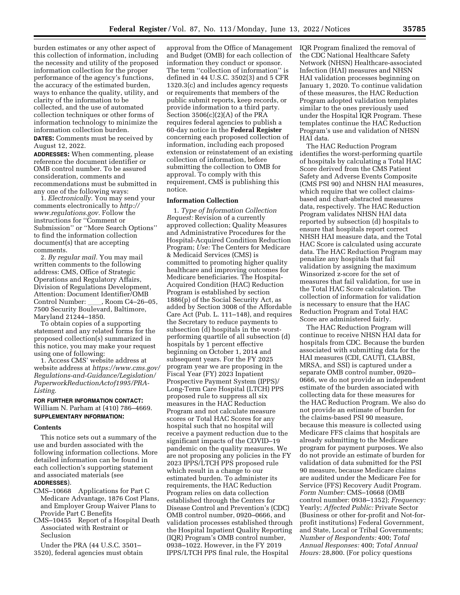burden estimates or any other aspect of this collection of information, including the necessity and utility of the proposed information collection for the proper performance of the agency's functions, the accuracy of the estimated burden, ways to enhance the quality, utility, and clarity of the information to be collected, and the use of automated collection techniques or other forms of information technology to minimize the information collection burden.

**DATES:** Comments must be received by August 12, 2022.

**ADDRESSES:** When commenting, please reference the document identifier or OMB control number. To be assured consideration, comments and recommendations must be submitted in any one of the following ways:

1. *Electronically.* You may send your comments electronically to *[http://](http://www.regulations.gov) [www.regulations.gov.](http://www.regulations.gov)* Follow the instructions for ''Comment or Submission'' or ''More Search Options'' to find the information collection document(s) that are accepting comments.

2. *By regular mail.* You may mail written comments to the following address: CMS, Office of Strategic Operations and Regulatory Affairs, Division of Regulations Development, Attention: Document Identifier/OMB Control Number: \_\_\_\_, Room C4–26–05, 7500 Security Boulevard, Baltimore, Maryland 21244–1850.

To obtain copies of a supporting statement and any related forms for the proposed collection(s) summarized in this notice, you may make your request using one of following:

1. Access CMS' website address at website address at *[https://www.cms.gov/](https://www.cms.gov/Regulations-and-Guidance/Legislation/PaperworkReductionActof1995/PRA-Listing)  [Regulations-and-Guidance/Legislation/](https://www.cms.gov/Regulations-and-Guidance/Legislation/PaperworkReductionActof1995/PRA-Listing)  [PaperworkReductionActof1995/PRA-](https://www.cms.gov/Regulations-and-Guidance/Legislation/PaperworkReductionActof1995/PRA-Listing)[Listing.](https://www.cms.gov/Regulations-and-Guidance/Legislation/PaperworkReductionActof1995/PRA-Listing)* 

## **FOR FURTHER INFORMATION CONTACT:**  William N. Parham at (410) 786–4669. **SUPPLEMENTARY INFORMATION:**

#### **Contents**

This notice sets out a summary of the use and burden associated with the following information collections. More detailed information can be found in each collection's supporting statement and associated materials (see

# **ADDRESSES**).

- CMS–10668 Applications for Part C Medicare Advantage, 1876 Cost Plans, and Employer Group Waiver Plans to Provide Part C Benefits
- CMS–10455 Report of a Hospital Death Associated with Restraint or Seclusion

Under the PRA (44 U.S.C. 3501– 3520), federal agencies must obtain

approval from the Office of Management and Budget (OMB) for each collection of information they conduct or sponsor. The term "collection of information" is defined in 44 U.S.C. 3502(3) and 5 CFR 1320.3(c) and includes agency requests or requirements that members of the public submit reports, keep records, or provide information to a third party. Section 3506(c)(2)(A) of the PRA requires federal agencies to publish a 60-day notice in the **Federal Register**  concerning each proposed collection of information, including each proposed extension or reinstatement of an existing collection of information, before submitting the collection to OMB for approval. To comply with this requirement, CMS is publishing this notice.

# **Information Collection**

1. *Type of Information Collection Request:* Revision of a currently approved collection; Quality Measures and Administrative Procedures for the Hospital-Acquired Condition Reduction Program; *Use:* The Centers for Medicare & Medicaid Services (CMS) is committed to promoting higher quality healthcare and improving outcomes for Medicare beneficiaries. The Hospital-Acquired Condition (HAC) Reduction Program is established by section 1886(p) of the Social Security Act, as added by Section 3008 of the Affordable Care Act (Pub. L. 111–148), and requires the Secretary to reduce payments to subsection (d) hospitals in the worstperforming quartile of all subsection (d) hospitals by 1 percent effective beginning on October 1, 2014 and subsequent years. For the FY 2025 program year we are proposing in the Fiscal Year (FY) 2023 Inpatient Prospective Payment System (IPPS)/ Long-Term Care Hospital (LTCH) PPS proposed rule to suppress all six measures in the HAC Reduction Program and not calculate measure scores or Total HAC Scores for any hospital such that no hospital will receive a payment reduction due to the significant impacts of the COVID–19 pandemic on the quality measures. We are not proposing any policies in the FY 2023 IPPS/LTCH PPS proposed rule which result in a change to our estimated burden. To administer its requirements, the HAC Reduction Program relies on data collection established through the Centers for Disease Control and Prevention's (CDC) OMB control number, 0920–0666, and validation processes established through the Hospital Inpatient Quality Reporting (IQR) Program's OMB control number, 0938–1022. However, in the FY 2019 IPPS/LTCH PPS final rule, the Hospital

IQR Program finalized the removal of the CDC National Healthcare Safety Network (NHSN) Healthcare-associated Infection (HAI) measures and NHSN HAI validation processes beginning on January 1, 2020. To continue validation of these measures, the HAC Reduction Program adopted validation templates similar to the ones previously used under the Hospital IQR Program. These templates continue the HAC Reduction Program's use and validation of NHSN HAI data.

The HAC Reduction Program identifies the worst-performing quartile of hospitals by calculating a Total HAC Score derived from the CMS Patient Safety and Adverse Events Composite (CMS PSI 90) and NHSN HAI measures, which require that we collect claimsbased and chart-abstracted measures data, respectively. The HAC Reduction Program validates NHSN HAI data reported by subsection (d) hospitals to ensure that hospitals report correct NHSH HAI measure data, and the Total HAC Score is calculated using accurate data. The HAC Reduction Program may penalize any hospitals that fail validation by assigning the maximum Winsorized z-score for the set of measures that fail validation, for use in the Total HAC Score calculation. The collection of information for validation is necessary to ensure that the HAC Reduction Program and Total HAC Score are administered fairly.

The HAC Reduction Program will continue to receive NHSN HAI data for hospitals from CDC. Because the burden associated with submitting data for the HAI measures (CDI, CAUTI, CLABSI, MRSA, and SSI) is captured under a separate OMB control number, 0920– 0666, we do not provide an independent estimate of the burden associated with collecting data for these measures for the HAC Reduction Program. We also do not provide an estimate of burden for the claims-based PSI 90 measure, because this measure is collected using Medicare FFS claims that hospitals are already submitting to the Medicare program for payment purposes. We also do not provide an estimate of burden for validation of data submitted for the PSI 90 measure, because Medicare claims are audited under the Medicare Fee for Service (FFS) Recovery Audit Program. *Form Number:* CMS–10668 (OMB control number: 0938–1352); *Frequency:*  Yearly; *Affected Public:* Private Sector (Business or other for-profit and Not-forprofit institutions) Federal Government, and State, Local or Tribal Governments; *Number of Respondents:* 400; *Total Annual Responses:* 400; *Total Annual Hours:* 28,800. (For policy questions